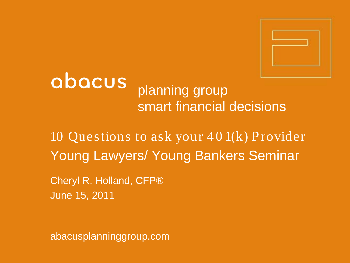

# abacus planning group smart financial decisions

10 Questions to ask your  $401(k)$  Provider Young Lawyers/ Young Bankers Seminar

Cheryl R. Holland, CFP® June 15, 2011

abacusplanninggroup.com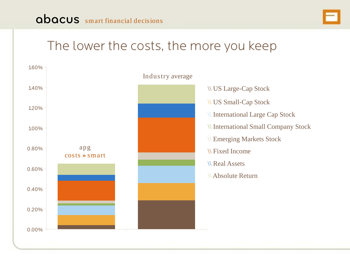

## The lower the costs, the more you keep

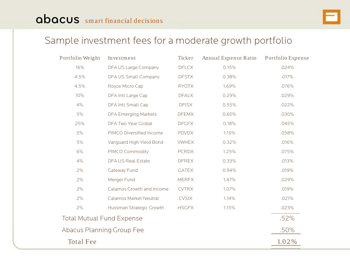#### Sample investment fees for a moderate growth portfolio

| Portfolio Weight                 | Investment                  | Ticker       | Annual Expense Ratio | Portfolio Expense |
|----------------------------------|-----------------------------|--------------|----------------------|-------------------|
| 16%                              | DFA US Large Company        | <b>DFLCX</b> | 0.15%                | .024%             |
| 4.5%                             | DFA US Small Company        | <b>DFSTX</b> | 0.38%                | .017%             |
| 4.5%                             | Royce Micro Cap             | <b>RYOTX</b> | 1.69%                | .076%             |
| 10%                              | DFA Intl Large Cap          | <b>DFALX</b> | 0.29%                | .029%             |
| 4%                               | DFA Intl Small Cap          | <b>DFISX</b> | 0.55%                | .022%             |
| 5%                               | <b>DFA Emerging Markets</b> | <b>DFEMX</b> | 0.60%                | .030%             |
| 25%                              | DFA Two Year Global         | <b>DFGFX</b> | 0.18%                | .045%             |
| 5%                               | PIMCO Diversified Income    | <b>PDVDX</b> | 1.15%                | .058%             |
| 5%                               | Vanguard High Yield Bond    | <b>VWHEX</b> | 0.32%                | .016%             |
| 6%                               | PIMCO Commodity             | <b>PCRDX</b> | 1.25%                | .075%             |
| 4%                               | <b>DFA US Real Estate</b>   | <b>DFREX</b> | 0.33%                | .013%             |
| 2%                               | Gateway Fund                | <b>GATEX</b> | 0.94%                | .019%             |
| 2%                               | Merger Fund                 | <b>MERFX</b> | 1.47%                | .029%             |
| 2%                               | Calamos Growth and Income   | <b>CVTRX</b> | 1.07%                | .019%             |
| 2%                               | Calamos Market Neutral      | <b>CVSIX</b> | 1.14%                | .021%             |
| 2%                               | Hussman Strategic Growth    | <b>HSGFX</b> | 1.15%                | .023%             |
| <b>Total Mutual Fund Expense</b> | .52%                        |              |                      |                   |
| Abacus Planning Group Fee        | .50%                        |              |                      |                   |
| <b>Total Fee</b>                 |                             |              |                      | 1.02%             |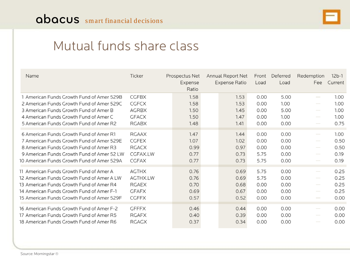

### Mutual funds share class

| Name                                       | Ticker       | Prospectus Net<br>Expense<br>Ratio | Annual Report Net<br><b>Expense Ratio</b> | Front<br>Load | Deferred<br>Load | Redemption<br>Fee        | $12b-1$<br>Current |
|--------------------------------------------|--------------|------------------------------------|-------------------------------------------|---------------|------------------|--------------------------|--------------------|
| 1 American Funds Growth Fund of Amer 529B  | <b>CGFBX</b> | 1.58                               | 1.53                                      | 0.00          | 5.00             | $\sim$                   | 1.00               |
| 2 American Funds Growth Fund of Amer 529C  | <b>CGFCX</b> | 1.58                               | 1.53                                      | 0.00          | 1.00             | $\sim$                   | 1.00               |
| 3 American Funds Growth Fund of Amer B     | <b>AGRBX</b> | 1.50                               | 1.45                                      | 0.00          | 5.00             | $\sim$                   | 1.00               |
| 4 American Funds Growth Fund of Amer C     | <b>GFACX</b> | 1.50                               | 1.47                                      | 0.00          | 1.00             | $\hspace{0.5cm}$         | 1.00               |
| 5 American Funds Growth Fund of Amer R2    | <b>RGABX</b> | 1.48                               | 1.41                                      | 0.00          | 0.00             | $\sim$                   | 0.75               |
| 6 American Funds Growth Fund of Amer R1    | <b>RGAAX</b> | 1.47                               | 1.44                                      | 0.00          | 0.00             | $\overline{\phantom{a}}$ | 1.00               |
| 7 American Funds Growth Fund of Amer 529E  | <b>CGFEX</b> | 1.07                               | 1.02                                      | 0.00          | 0.00             | $\sim$                   | 0.50               |
| 8 American Funds Growth Fund of Amer R3    | <b>RGACX</b> | 0.99                               | 0.97                                      | 0.00          | 0.00             | $\sim$                   | 0.50               |
| 9 American Funds Growth Fund of Amer 52 LW | CGFAX.LW     | 0.77                               | 0.73                                      | 5.75          | 0.00             | $\sim$                   | 0.19               |
| 10 American Funds Growth Fund of Amer 529A | <b>CGFAX</b> | 0.77                               | 0.73                                      | 5.75          | 0.00             | $\sim$                   | 0.19               |
| 11 American Funds Growth Fund of Amer A    | <b>AGTHX</b> | 0.76                               | 0.69                                      | 5.75          | 0.00             | $\sim$ $-$               | 0.25               |
| 12 American Funds Growth Fund of Amer A LW | AGTHX.LW     | 0.76                               | 0.69                                      | 5.75          | 0.00             | $\sim$                   | 0.25               |
| 13 American Funds Growth Fund of Amer R4   | <b>RGAEX</b> | 0.70                               | 0.68                                      | 0.00          | 0.00             | $\sim$                   | 0.25               |
| 14 American Funds Growth Fund of Amer F-1  | <b>GFAFX</b> | 0.69                               | 0.67                                      | 0.00          | 0.00             | $\overline{\phantom{a}}$ | 0.25               |
| 15 American Funds Growth Fund of Amer 529F | <b>CGFFX</b> | 0.57                               | 0.52                                      | 0.00          | 0.00             | $\sim$                   | 0.00               |
| 16 American Funds Growth Fund of Amer F-2  | <b>GFFFX</b> | 0.46                               | 0.44                                      | 0.00          | 0.00             | $\sim$                   | 0.00               |
| 17 American Funds Growth Fund of Amer R5   | <b>RGAFX</b> | 0.40                               | 0.39                                      | 0.00          | 0.00             | $\overline{\phantom{m}}$ | 0.00               |
| 18 American Funds Growth Fund of Amer R6   | <b>RGAGX</b> | 0.37                               | 0.34                                      | 0.00          | 0.00             | $\sim$                   | 0.00               |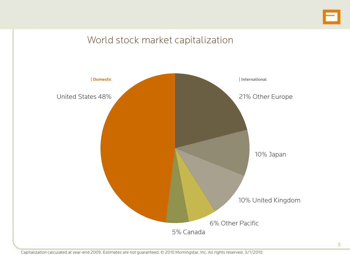

#### World stock market capitalization

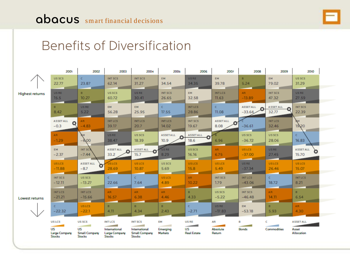

## Benefits of Diversification

|                        | 2001                                           | 2002                                                                              | 2003                                                                                                  | 2004                                                                     | <b>2005</b>                      | 2006                                    | 2007                            | 2008                             | 2009                           | 2010                                    |
|------------------------|------------------------------------------------|-----------------------------------------------------------------------------------|-------------------------------------------------------------------------------------------------------|--------------------------------------------------------------------------|----------------------------------|-----------------------------------------|---------------------------------|----------------------------------|--------------------------------|-----------------------------------------|
|                        | US SCS                                         | $\epsilon$                                                                        | INT SCS                                                                                               | INT SCS                                                                  | EM.                              | <b>USRE</b>                             | EM                              | B.                               | <b>EM</b>                      | US SCS                                  |
|                        | 22.77                                          | 23.87                                                                             | 62.14                                                                                                 | 31.27                                                                    | 34.54                            | 34.35                                   | 39.78                           | 5.24                             | 79.02                          | 31.29                                   |
| <b>Highest returns</b> | US RE                                          | $\blacksquare$                                                                    | US SCS                                                                                                | US RE                                                                    | INT SCS                          | <b>EM</b>                               | <b>INTLCS</b>                   | AR.                              | INT SCS                        | US RE                                   |
|                        | 15.5                                           | 10.27                                                                             | 60.72                                                                                                 | 30.41                                                                    | 26.65                            | 32.58                                   | 11.63                           | $-13.89$                         | 47.32                          | 27.59                                   |
|                        | $\blacksquare$<br>8.42                         | US RE<br>5.22                                                                     | EM.<br>56.28                                                                                          | <b>EM</b><br>25.95                                                       | c<br>17.55                       | <b>INT LCS</b><br>28.86                 | $\mathsf{C}$<br>11.08           | <b>ASSETALL</b><br>Ω<br>$-33.64$ | <b>ASSET ALL</b><br>O<br>32.77 | <b>INT SCS</b><br>22.39                 |
|                        | <b>ASSET ALL</b><br>Ο<br>$-0.3$                | AR.<br>$-4.83$                                                                    | <b>INT LCS</b><br>39.17                                                                               | <b>INTLCS</b><br>20.7                                                    | <b>INT LCS</b><br>14.02          | <b>INT SCS</b><br>19.67                 | <b>ASSETALL</b><br>8.08         | $-36.61$                         | <b>INTLCS</b><br>32.46         | EМ<br>19.20                             |
|                        | AR .<br>$-1.29$                                | БΜ<br>-6,00                                                                       | US RE<br>38.47                                                                                        | US SCS<br>18.39                                                          | <b>ASSETALL</b><br>10.9          | <b>ASSETALL</b><br>18.6                 | 6.96                            | US SCS<br>$-36.72$               | US SCS<br>28.06                | c.<br>16.83                             |
|                        | EM.<br>$-2.37$                                 | INT SCS<br>$-7.44$                                                                | <b>ASSET ALL</b><br>Ω<br>33.2                                                                         | <b>ASSET ALL</b><br>О<br>15.7                                            | US REI<br>8.29                   | US SCS<br>16.16                         | AR.<br>6.75                     | <b>USLCS</b><br>$-37.00$         | <b>USRE</b><br>27.45           | <b>ASSET ALL</b><br>15.70               |
|                        | <b>USLCS</b>                                   | <b>ASSET ALL</b>                                                                  | US LCS                                                                                                | US LCS                                                                   | US SCS                           | <b>USLCS</b>                            | <b>USLCS</b>                    | US RE                            | <b>USLCS</b>                   | <b>USLCS</b>                            |
|                        | $-11.88$                                       | $-8.7$                                                                            | 28.69                                                                                                 | 10.87                                                                    | 5.69                             | 15.8                                    | 5.49                            | $-37.34$                         | 26.46                          | 15.07                                   |
|                        | INT SCS                                        | US SCS                                                                            | c.                                                                                                    | c.                                                                       | US LCS                           | AR.                                     | INT SCS                         | <b>INT LCS</b>                   | $\mathsf{C}$                   | <b>INTLCS</b>                           |
|                        | $-12.11$                                       | $-13.27$                                                                          | 22.66                                                                                                 | 7.64                                                                     | 4.89                             | 10.22                                   | 1.79                            | $-43.06$                         | 18.72                          | 8.21                                    |
| Lowest returns         | <b>INTLCS</b>                                  | <b>INTLCS</b>                                                                     | AR.                                                                                                   | AR.                                                                      | AR.                              | B.                                      | US SCS                          | INT SCS                          | AR.                            | $\blacksquare$                          |
|                        | $-21.21$                                       | $-15.66$                                                                          | 16.57                                                                                                 | 6.38                                                                     | 4.46                             | 4.33                                    | $-5.22$                         | $-46.48$                         | 14.11                          | 6.54                                    |
|                        | c.                                             | US LCS                                                                            | B                                                                                                     | B.                                                                       | B                                | c                                       | US RE                           | <b>EM</b>                        | $\blacksquare$                 | AR.                                     |
|                        | $-22.32$                                       | $-22.1$                                                                           | 4.11                                                                                                  | 4.34                                                                     | 2.43                             | $-2.71$                                 | $-77.83$                        | $-53.18$                         | 5.93                           | 4.30                                    |
|                        | US LCS<br>US<br>Large Company<br><b>Stocks</b> | US SCS<br><b>Contract Contract</b><br>US<br><b>Small Company</b><br><b>Stocks</b> | <b>INTLCS</b><br><b>Contract Contract Contract</b><br>International<br>Large Company<br><b>Stocks</b> | <b>INT SCS</b><br>International<br><b>Small Company</b><br><b>Stocks</b> | EM<br>Emerging<br><b>Markets</b> | <b>USRE</b><br>US<br><b>Real Estate</b> | AR<br><b>Absolute</b><br>Return | в<br>Bonds                       | c<br>Commodities               | <b>ASSET ALL</b><br>Asset<br>Allocation |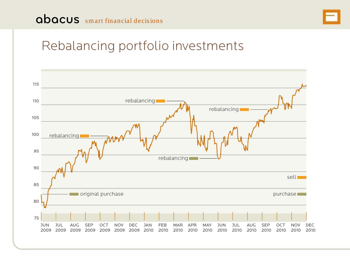### abacus smart financial decisions



## Rebalancing portfolio investments

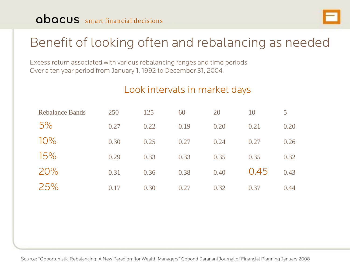### abacus smart financial decisions



# Benefit of looking often and rebalancing as needed

Excess return associated with various rebalancing ranges and time periods Over a ten year period from January 1, 1992 to December 31, 2004.

#### Look intervals in market days

| <b>Rebalance Bands</b> | 250  | 125  | 60   | 20   | 10   | 5    |
|------------------------|------|------|------|------|------|------|
| 5%                     | 0.27 | 0.22 | 0.19 | 0.20 | 0.21 | 0.20 |
| $10\%$                 | 0.30 | 0.25 | 0.27 | 0.24 | 0.27 | 0.26 |
| 15%                    | 0.29 | 0.33 | 0.33 | 0.35 | 0.35 | 0.32 |
| 20%                    | 0.31 | 0.36 | 0.38 | 0.40 | 0.45 | 0.43 |
| 25%                    | 0.17 | 0.30 | 0.27 | 0.32 | 0.37 | 0.44 |

Source: "Opportunistic Rebalancing: A New Paradigm for Wealth Managers" Gobond Daranani Journal of Financial Planning January 2008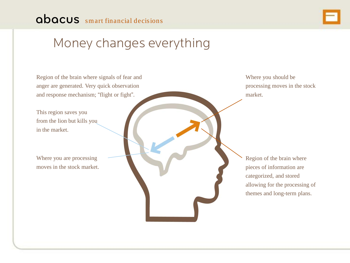## Money changes everything

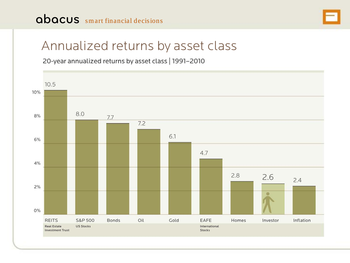### abacus smart financial decisions



## Annualized returns by asset class

20-year annualized returns by asset class | 1991-2010